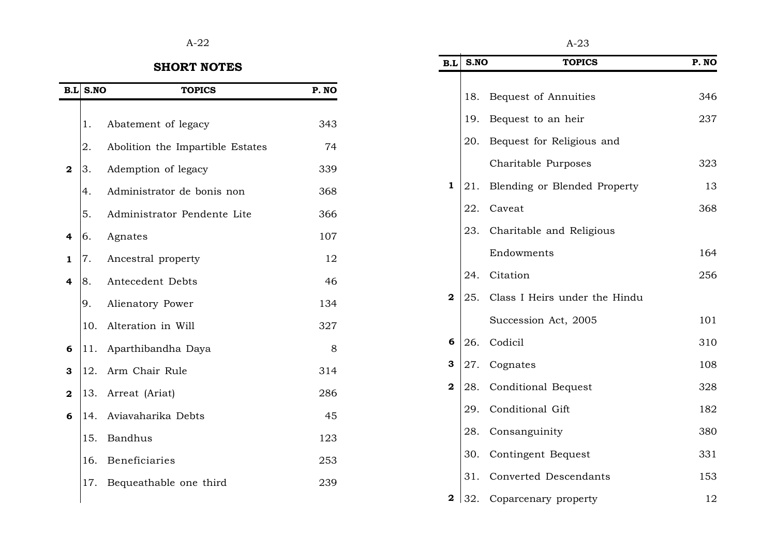## $A-22$   $A-23$

## **SHORT NOTES**

|              | $B.L$ S.NO | <b>TOPICS</b>                    | P. NO |
|--------------|------------|----------------------------------|-------|
|              | 1.         | Abatement of legacy              | 343   |
|              | 2.         | Abolition the Impartible Estates | 74    |
| $\mathbf{2}$ | 3.         | Ademption of legacy              | 339   |
|              | 4.         | Administrator de bonis non       | 368   |
|              | 5.         | Administrator Pendente Lite      | 366   |
| 4            | 6.         | Agnates                          | 107   |
| 1            | 7.         | Ancestral property               | 12    |
| 4            | 8.         | Antecedent Debts                 | 46    |
|              | 9.         | Alienatory Power                 | 134   |
|              | 10.        | Alteration in Will               | 327   |
| 6            | 11.        | Aparthibandha Daya               | 8     |
| з            | 12.        | Arm Chair Rule                   | 314   |
| 2            | 13.        | Arreat (Ariat)                   | 286   |
| 6            | 14.        | Aviavaharika Debts               | 45    |
|              | 15.        | <b>Bandhus</b>                   | 123   |
|              | 16.        | Beneficiaries                    | 253   |
|              | 17.        | Bequeathable one third           | 239   |
|              |            |                                  |       |

| B.L            | S.NO | <b>TOPICS</b>                 | P. NO |
|----------------|------|-------------------------------|-------|
|                |      |                               |       |
|                | 18.  | Bequest of Annuities          | 346   |
|                | 19.  | Bequest to an heir            | 237   |
|                | 20.  | Bequest for Religious and     |       |
|                |      | Charitable Purposes           | 323   |
| 1              | 21.  | Blending or Blended Property  | 13    |
|                | 22.  | Caveat                        | 368   |
|                | 23.  | Charitable and Religious      |       |
|                |      | Endowments                    | 164   |
|                | 24.  | Citation                      | 256   |
| $\overline{2}$ | 25.  | Class I Heirs under the Hindu |       |
|                |      | Succession Act, 2005          | 101   |
| 6              | 26.  | Codicil                       | 310   |
| 3              | 27.  | Cognates                      | 108   |
| $\mathbf 2$    | 28.  | <b>Conditional Bequest</b>    | 328   |
|                | 29.  | Conditional Gift              | 182   |
|                | 28.  | Consanguinity                 | 380   |
|                | 30.  | Contingent Bequest            | 331   |
|                | 31.  | Converted Descendants         | 153   |
| 2              | 32.  | Coparcenary property          | 12    |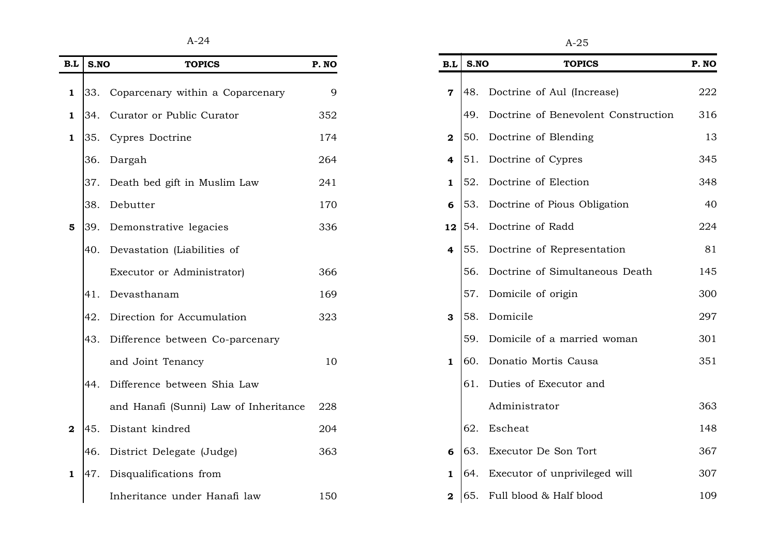$A-24$   $A-25$ 

| B.L                     | S.NO | <b>TOPICS</b>                         | P. NO | B.L              | S.NO | <b>TOPICS</b>                           | P. NO |
|-------------------------|------|---------------------------------------|-------|------------------|------|-----------------------------------------|-------|
| 1                       | 33.  | Coparcenary within a Coparcenary      | 9     |                  |      | <b>7</b> 48. Doctrine of Aul (Increase) | 222   |
| 1                       | 34.  | Curator or Public Curator             | 352   |                  |      | 49. Doctrine of Benevolent Construction | 316   |
| 1                       | 35.  | Cypres Doctrine                       | 174   | $\boldsymbol{2}$ |      | 50. Doctrine of Blending                | 13    |
|                         | 36.  | Dargah                                | 264   | 4                |      | [51. Doctrine of Cypres]                | 345   |
|                         | 37.  | Death bed gift in Muslim Law          | 241   | 1                |      | 52. Doctrine of Election                | 348   |
|                         |      | 38. Debutter                          | 170   | 6                |      | 53. Doctrine of Pious Obligation        | 40    |
| $\overline{\mathbf{5}}$ | 39.  | Demonstrative legacies                | 336   | 12 <sub>1</sub>  |      | 54. Doctrine of Radd                    | 224   |
|                         | 40.  | Devastation (Liabilities of           |       | 4                |      | [55. Doctrine of Representation]        | 81    |
|                         |      | Executor or Administrator)            | 366   |                  |      | 56. Doctrine of Simultaneous Death      | 145   |
|                         | 41.  | Devasthanam                           | 169   |                  |      | 57. Domicile of origin                  | 300   |
|                         | 42.  | Direction for Accumulation            | 323   | $\mathbf{3}$     |      | 58. Domicile                            | 297   |
|                         | 43.  | Difference between Co-parcenary       |       |                  |      | 59. Domicile of a married woman         | 301   |
|                         |      | and Joint Tenancy                     | 10    | $\mathbf{1}$     |      | 60. Donatio Mortis Causa                | 351   |
|                         | 44.  | Difference between Shia Law           |       |                  |      | 61. Duties of Executor and              |       |
|                         |      | and Hanafi (Sunni) Law of Inheritance | 228   |                  |      | Administrator                           | 363   |
| $\mathbf{2}$            | 45.  | Distant kindred                       | 204   |                  |      | 62. Escheat                             | 148   |
|                         | 46.  | District Delegate (Judge)             | 363   | 6                |      | 63. Executor De Son Tort                | 367   |
| 1                       | 47.  | Disqualifications from                |       | 1                |      | 64. Executor of unprivileged will       | 307   |
|                         |      | Inheritance under Hanafi law          | 150   | $\mathbf{2}$     |      | [65. Full blood & Half blood            | 109   |

| B.L                     | S.NO | <b>TOPICS</b>                       | P. NO |
|-------------------------|------|-------------------------------------|-------|
| $\overline{7}$          | 48.  | Doctrine of Aul (Increase)          | 222   |
|                         | 49.  | Doctrine of Benevolent Construction | 316   |
| $\overline{\mathbf{2}}$ | 50.  | Doctrine of Blending                | 13    |
| $\overline{\mathbf{4}}$ | 51.  | Doctrine of Cypres                  | 345   |
| $\mathbf{1}$            | 52.  | Doctrine of Election                | 348   |
| 6                       |      | 53. Doctrine of Pious Obligation    | 40    |
| 12                      | 54.  | Doctrine of Radd                    | 224   |
| $\overline{4}$          | 55.  | Doctrine of Representation          | 81    |
|                         | 56.  | Doctrine of Simultaneous Death      | 145   |
|                         | 57.  | Domicile of origin                  | 300   |
| 3                       | 58.  | Domicile                            | 297   |
|                         | 59.  | Domicile of a married woman         | 301   |
| $\mathbf{1}$            | 60.  | Donatio Mortis Causa                | 351   |
|                         | 61.  | Duties of Executor and              |       |
|                         |      | Administrator                       | 363   |
|                         | 62.  | Escheat                             | 148   |
| 6                       | 63.  | Executor De Son Tort                | 367   |
| $\mathbf{1}$            | 64.  | Executor of unprivileged will       | 307   |
| $\overline{\mathbf{2}}$ | 65.  | Full blood & Half blood             | 109   |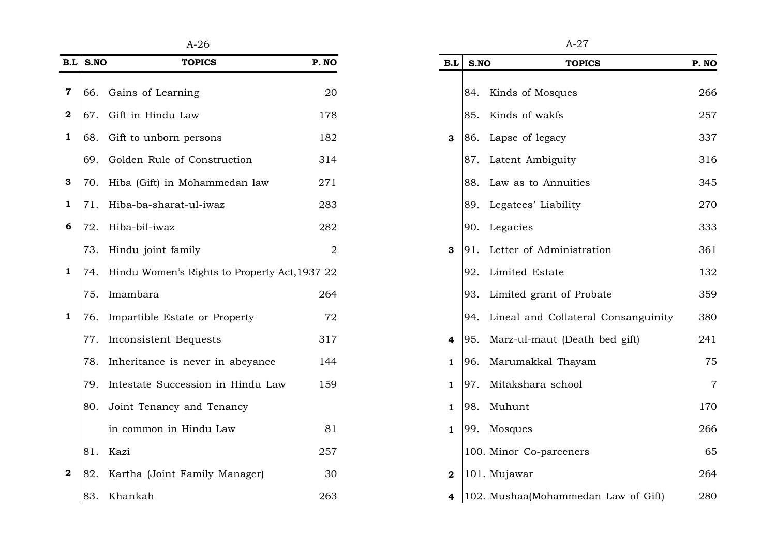| B.L              | S.NO | <b>TOPICS</b>                                     | P. NO          | B.L          | S.NO | <b>TOPICS</b>                           | P. NO          |
|------------------|------|---------------------------------------------------|----------------|--------------|------|-----------------------------------------|----------------|
| 7                |      | 66. Gains of Learning                             | 20             |              |      | 84. Kinds of Mosques                    | 266            |
| $\mathbf 2$      | 67.  | Gift in Hindu Law                                 | 178            |              |      | 85. Kinds of wakfs                      | 257            |
| 1                | 68.  | Gift to unborn persons                            | 182            | 3            |      | 86. Lapse of legacy                     | 337            |
|                  |      | 69. Golden Rule of Construction                   | 314            |              |      | 87. Latent Ambiguity                    | 316            |
| 3                | 70.  | Hiba (Gift) in Mohammedan law                     | 271            |              |      | 88. Law as to Annuities                 | 345            |
| 1                | 71.  | Hiba-ba-sharat-ul-iwaz                            | 283            |              |      | 89. Legatees' Liability                 | 270            |
| 6                | 72.  | Hiba-bil-iwaz                                     | 282            |              |      | 90. Legacies                            | 333            |
|                  |      | 73. Hindu joint family                            | $\overline{2}$ | 3            |      | 91. Letter of Administration            | 361            |
| 1                |      | 74. Hindu Women's Rights to Property Act, 1937 22 |                |              |      | 92. Limited Estate                      | 132            |
|                  |      | 75. Imambara                                      | 264            |              |      | 93. Limited grant of Probate            | 359            |
| 1                | 76.  | Impartible Estate or Property                     | 72             |              |      | 94. Lineal and Collateral Consanguinity | 380            |
|                  | 77.  | Inconsistent Bequests                             | 317            | 4            |      | 95. Marz-ul-maut (Death bed gift)       | 241            |
|                  | 78.  | Inheritance is never in abeyance                  | 144            | 1            | 96.  | Marumakkal Thayam                       | 75             |
|                  | 79.  | Intestate Succession in Hindu Law                 | 159            | 1            | 97.  | Mitakshara school                       | $\overline{7}$ |
|                  | 80.  | Joint Tenancy and Tenancy                         |                | 1            |      | 98. Muhunt                              | 170            |
|                  |      | in common in Hindu Law                            | 81             | $\mathbf{1}$ |      | 99. Mosques                             | 266            |
|                  |      | 81. Kazi                                          | 257            |              |      | 100. Minor Co-parceners                 | 65             |
| $\boldsymbol{2}$ | 82.  | Kartha (Joint Family Manager)                     | 30             | $\mathbf 2$  |      | 101. Mujawar                            | 264            |
|                  |      | 83. Khankah                                       | 263            | 4            |      | 102. Mushaa(Mohammedan Law of Gift)     | 280            |

| A-26                            |                | A-27         |       |                                     |                |  |
|---------------------------------|----------------|--------------|-------|-------------------------------------|----------------|--|
| <b>OPICS</b>                    | P. NO          | B.L          | S.NO  | <b>TOPICS</b>                       | P. NO          |  |
| ng                              | 20             |              | 84.   | Kinds of Mosques                    | 266            |  |
| aw                              | 178            |              | 85.   | Kinds of wakfs                      | 257            |  |
| persons                         | 182            | 3            | 86.   | Lapse of legacy                     | 337            |  |
| Construction                    | 314            |              |       | 87. Latent Ambiguity                | 316            |  |
| ohammedan law                   | 271            |              | 88. . | Law as to Annuities                 | 345            |  |
| ul-iwaz-                        | 283            |              |       | 89. Legatees' Liability             | 270            |  |
|                                 | 282            |              |       | 90. Legacies                        | 333            |  |
| ıily                            | $\overline{2}$ | 3            |       | 91. Letter of Administration        | 361            |  |
| Rights to Property Act, 1937 22 |                |              | 92.   | Limited Estate                      | 132            |  |
|                                 | 264            |              | 93.   | Limited grant of Probate            | 359            |  |
| te or Property                  | 72             |              | 94.   | Lineal and Collateral Consanguinity | 380            |  |
| equests                         | 317            | 4            | 95.   | Marz-ul-maut (Death bed gift)       | 241            |  |
| never in abeyance               | 144            | 1            | 96.   | Marumakkal Thayam                   | 75             |  |
| ssion in Hindu Law              | 159            | 1            | 97.   | Mitakshara school                   | $\overline{7}$ |  |
| and Tenancy                     |                | $\mathbf{1}$ | 98.   | Muhunt                              | 170            |  |
| lindu Law                       | 81             | $\mathbf{1}$ |       | 99. Mosques                         | 266            |  |
|                                 | 257            |              |       | 100. Minor Co-parceners             | 65             |  |
| amily Manager)                  | 30             | $\mathbf{2}$ |       | 101. Mujawar                        | 264            |  |
|                                 | 263            | 4            |       | 102. Mushaa(Mohammedan Law of Gift) | 280            |  |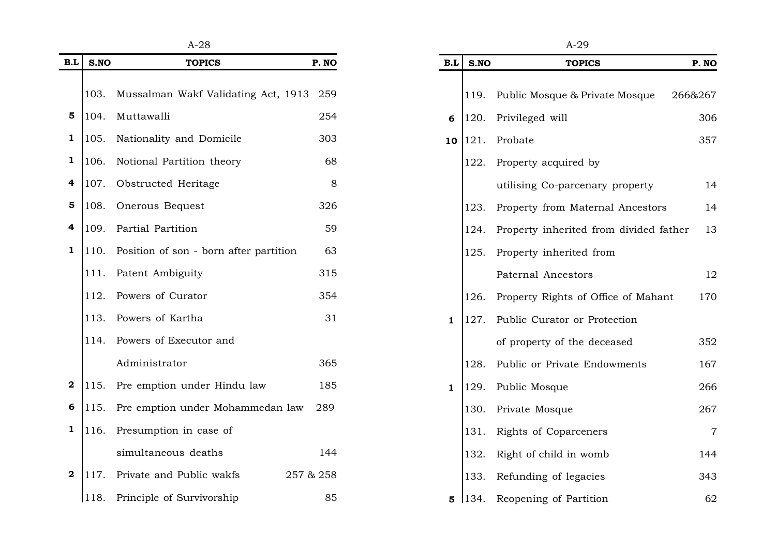| B.L                     | S.NO | <b>TOPICS</b>                          | P. NO     |
|-------------------------|------|----------------------------------------|-----------|
|                         |      |                                        |           |
|                         | 103. | Mussalman Wakf Validating Act, 1913    | 259       |
| 5                       | 104. | Muttawalli                             |           |
| 1                       | 105. | Nationality and Domicile               |           |
| 1                       | 106. | Notional Partition theory              |           |
| 4                       | 107. | Obstructed Heritage                    |           |
| 5                       | 108. | Onerous Bequest                        |           |
| 4                       | 109. | Partial Partition                      |           |
| $\mathbf{1}$            | 110. | Position of son - born after partition |           |
|                         | 111. | Patent Ambiguity                       | 315       |
|                         | 112. | Powers of Curator                      | 354       |
|                         | 113. | Powers of Kartha                       | 31        |
|                         | 114. | Powers of Executor and                 |           |
|                         |      | Administrator                          | 365       |
| $\mathbf{2}$            | 115. | Pre emption under Hindu law            | 185       |
| 6                       | 115. | Pre emption under Mohammedan law       | 289       |
| 1                       | 116. | Presumption in case of                 |           |
|                         |      | simultaneous deaths                    | 144       |
| $\overline{\mathbf{2}}$ | 117. | Private and Public wakfs               | 257 & 258 |
|                         | 118. | Principle of Survivorship              | 85        |

| A-28                         |           |              |                 | $A-29$                                 |                |
|------------------------------|-----------|--------------|-----------------|----------------------------------------|----------------|
| <b>TOPICS</b>                | P. NO     | B.L          | S.NO            | <b>TOPICS</b>                          | P. NO          |
| akf Validating Act, 1913 259 |           |              | 119.            | Public Mosque & Private Mosque         | 266&267        |
|                              | 254       | 6            | 120.            | Privileged will                        | 306            |
| d Domicile                   | 303       | 10           | <sup>121.</sup> | Probate                                | 357            |
| tion theory                  | 68        |              | 122.            | Property acquired by                   |                |
| eritage                      | 8         |              |                 | utilising Co-parcenary property        | 14             |
| ıest                         | 326       |              | 123.            | Property from Maternal Ancestors       | 14             |
| ρn                           | 59        |              | 124.            | Property inherited from divided father | 13             |
| 1 - born after partition     | 63        |              | 125.            | Property inherited from                |                |
| ıity                         | 315       |              |                 | Paternal Ancestors                     | 12             |
| ator                         | 354       |              | 126.            | Property Rights of Office of Mahant    | 170            |
| tha                          | 31        | $\mathbf{1}$ | 127.            | Public Curator or Protection           |                |
| cutor and                    |           |              |                 | of property of the deceased            | 352            |
|                              | 365       |              | 128.            | Public or Private Endowments           | 167            |
| nder Hindu law               | 185       | $\mathbf{1}$ | 129.            | Public Mosque                          | 266            |
| nder Mohammedan law          | 289       |              | 130.            | Private Mosque                         | 267            |
| n case of                    |           |              | 131.            | Rights of Coparceners                  | $\overline{7}$ |
| deaths                       | 144       |              | 132.            | Right of child in womb                 | 144            |
| blic wakfs                   | 257 & 258 |              | 133.            | Refunding of legacies                  | 343            |
| ırvivorship                  | 85        | 5            | 134.            | Reopening of Partition                 | 62             |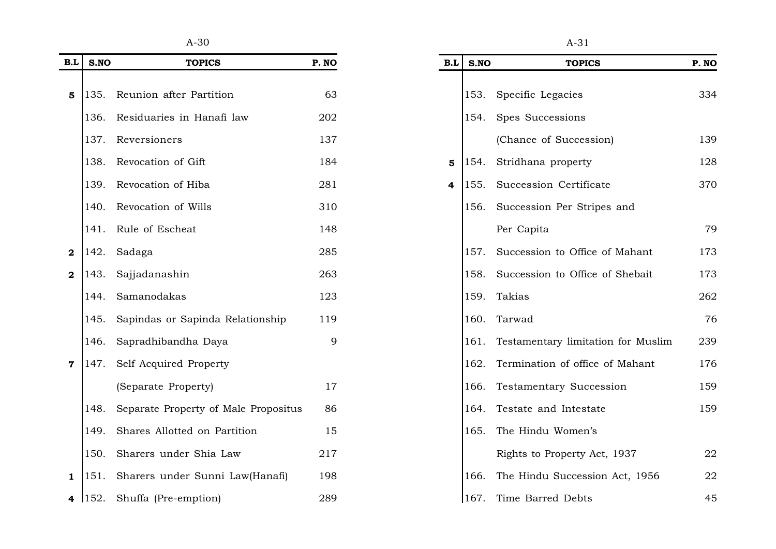$A-30$   $A-31$ 

| B.L                     | S.NO | <b>TOPICS</b>                        | P. NO |
|-------------------------|------|--------------------------------------|-------|
|                         |      |                                      |       |
| 5                       | 135. | Reunion after Partition              | 63    |
|                         | 136. | Residuaries in Hanafi law            | 202   |
|                         | 137. | Reversioners                         | 137   |
|                         | 138. | Revocation of Gift                   | 184   |
|                         | 139. | Revocation of Hiba                   | 281   |
|                         | 140. | Revocation of Wills                  | 310   |
|                         | 141. | Rule of Escheat                      | 148   |
| 2                       | 142. | Sadaga                               | 285   |
| $\overline{\mathbf{2}}$ | 143. | Sajjadanashin                        | 263   |
|                         | 144. | Samanodakas                          | 123   |
|                         | 145. | Sapindas or Sapinda Relationship     | 119   |
|                         | 146. | Sapradhibandha Daya                  | 9     |
| 7                       | 147. | Self Acquired Property               |       |
|                         |      | (Separate Property)                  | 17    |
|                         | 148. | Separate Property of Male Propositus | 86    |
|                         | 149. | Shares Allotted on Partition         | 15    |
|                         | 150. | Sharers under Shia Law               | 217   |
| 1                       | 151. | Sharers under Sunni Law(Hanafi)      | 198   |
| 4                       | 152. | Shuffa (Pre-emption)                 | 289   |

| ×<br>۰.<br>v.<br>۰. |
|---------------------|

| B.L | S.NO | <b>TOPICS</b>                           | P. NO |
|-----|------|-----------------------------------------|-------|
|     |      | 153. Specific Legacies                  | 334   |
|     |      |                                         |       |
|     | 154. | Spes Successions                        |       |
|     |      | (Chance of Succession)                  | 139   |
| 5   | 154. | Stridhana property                      | 128   |
| 4   |      | 155. Succession Certificate             | 370   |
|     | 156. | Succession Per Stripes and              |       |
|     |      | Per Capita                              | 79    |
|     |      | 157. Succession to Office of Mahant     | 173   |
|     | 158. | Succession to Office of Shebait         | 173   |
|     |      | 159. Takias                             | 262   |
|     |      | 160. Tarwad                             | 76    |
|     |      | 161. Testamentary limitation for Muslim | 239   |
|     |      | 162. Termination of office of Mahant    | 176   |
|     |      | 166. Testamentary Succession            | 159   |
|     |      | 164. Testate and Intestate              | 159   |
|     | 165. | The Hindu Women's                       |       |
|     |      | Rights to Property Act, 1937            | 22    |
|     | 166. | The Hindu Succession Act, 1956          | 22    |
|     | 167. | Time Barred Debts                       | 45    |